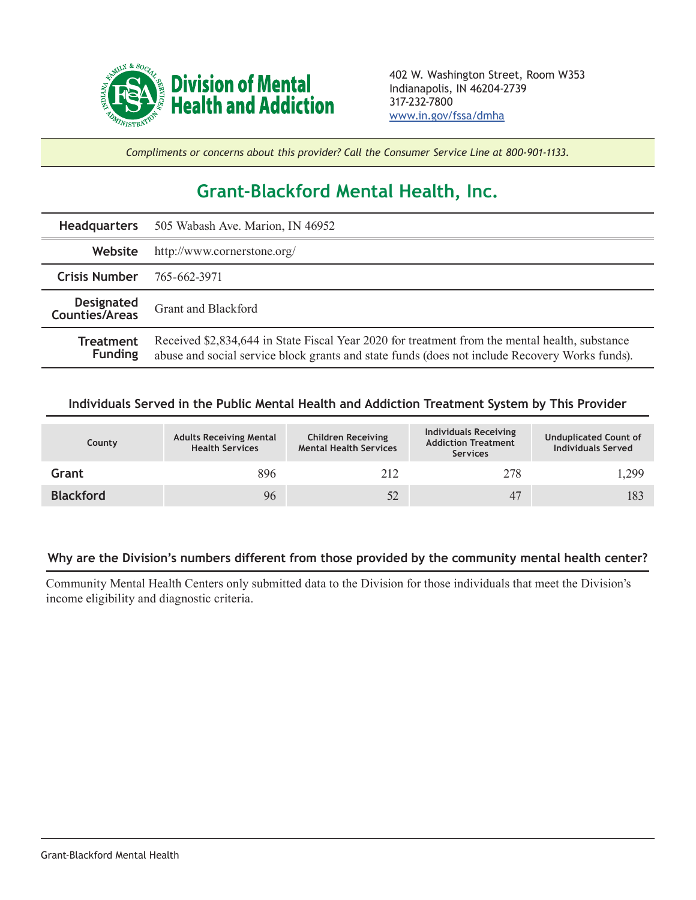

*Compliments or concerns about this provider? Call the Consumer Service Line at 800-901-1133.*

## **Grant-Blackford Mental Health, Inc.**

|                                     | Headquarters 505 Wabash Ave. Marion, IN 46952                                                                                                                                                    |  |  |  |
|-------------------------------------|--------------------------------------------------------------------------------------------------------------------------------------------------------------------------------------------------|--|--|--|
| Website                             | http://www.cornerstone.org/                                                                                                                                                                      |  |  |  |
| <b>Crisis Number</b>                | 765-662-3971                                                                                                                                                                                     |  |  |  |
| <b>Designated</b><br>Counties/Areas | Grant and Blackford                                                                                                                                                                              |  |  |  |
| <b>Treatment</b><br><b>Funding</b>  | Received \$2,834,644 in State Fiscal Year 2020 for treatment from the mental health, substance<br>abuse and social service block grants and state funds (does not include Recovery Works funds). |  |  |  |

## **Individuals Served in the Public Mental Health and Addiction Treatment System by This Provider**

| County           | <b>Adults Receiving Mental</b><br><b>Health Services</b> | <b>Children Receiving</b><br><b>Mental Health Services</b> | <b>Individuals Receiving</b><br><b>Addiction Treatment</b><br><b>Services</b> | <b>Unduplicated Count of</b><br><b>Individuals Served</b> |
|------------------|----------------------------------------------------------|------------------------------------------------------------|-------------------------------------------------------------------------------|-----------------------------------------------------------|
| Grant            | 896                                                      | 212                                                        | 278                                                                           | 1,299                                                     |
| <b>Blackford</b> | 96                                                       |                                                            | 47                                                                            | 183                                                       |

## **Why are the Division's numbers different from those provided by the community mental health center?**

Community Mental Health Centers only submitted data to the Division for those individuals that meet the Division's income eligibility and diagnostic criteria.